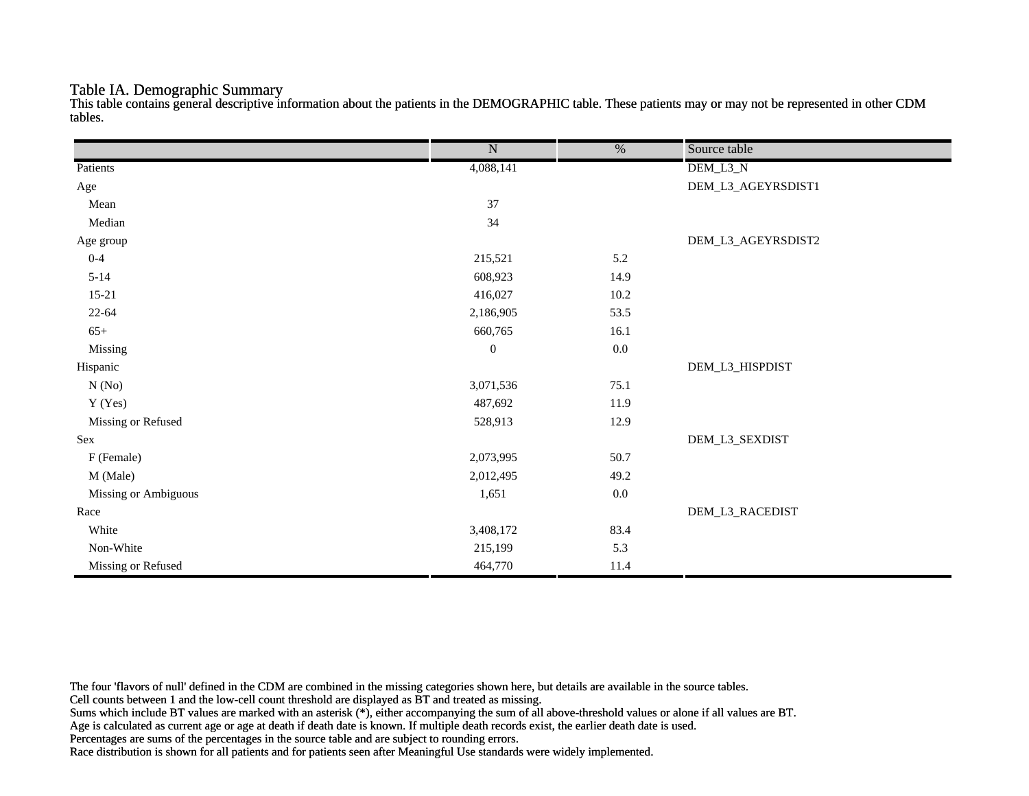#### Table IA. Demographic Summary

This table contains general descriptive information about the patients in the DEMOGRAPHIC table. These patients may or may not be represented in other CDM tables.

|                      | $\overline{\text{N}}$ | $\overline{\frac{0}{0}}$ | Source table       |
|----------------------|-----------------------|--------------------------|--------------------|
| Patients             | 4,088,141             |                          | DEM_L3_N           |
| Age                  |                       |                          | DEM_L3_AGEYRSDIST1 |
| Mean                 | 37                    |                          |                    |
| Median               | 34                    |                          |                    |
| Age group            |                       |                          | DEM_L3_AGEYRSDIST2 |
| $0 - 4$              | 215,521               | 5.2                      |                    |
| $5 - 14$             | 608,923               | 14.9                     |                    |
| $15 - 21$            | 416,027               | $10.2\,$                 |                    |
| $22 - 64$            | 2,186,905             | 53.5                     |                    |
| $65+$                | 660,765               | 16.1                     |                    |
| Missing              | $\boldsymbol{0}$      | $0.0\,$                  |                    |
| Hispanic             |                       |                          | DEM_L3_HISPDIST    |
| N(No)                | 3,071,536             | 75.1                     |                    |
| Y (Yes)              | 487,692               | 11.9                     |                    |
| Missing or Refused   | 528,913               | 12.9                     |                    |
| Sex                  |                       |                          | DEM_L3_SEXDIST     |
| F (Female)           | 2,073,995             | 50.7                     |                    |
| M (Male)             | 2,012,495             | 49.2                     |                    |
| Missing or Ambiguous | 1,651                 | $0.0\,$                  |                    |
| Race                 |                       |                          | DEM_L3_RACEDIST    |
| White                | 3,408,172             | 83.4                     |                    |
| Non-White            | 215,199               | 5.3                      |                    |
| Missing or Refused   | 464,770               | 11.4                     |                    |

The four 'flavors of null' defined in the CDM are combined in the missing categories shown here, but details are available in the source tables.

Cell counts between 1 and the low-cell count threshold are displayed as BT and treated as missing.

Sums which include BT values are marked with an asterisk (\*), either accompanying the sum of all above-threshold values or alone if all values are BT.

Age is calculated as current age or age at death if death date is known. If multiple death records exist, the earlier death date is used.

Percentages are sums of the percentages in the source table and are subject to rounding errors.

Race distribution is shown for all patients and for patients seen after Meaningful Use standards were widely implemented.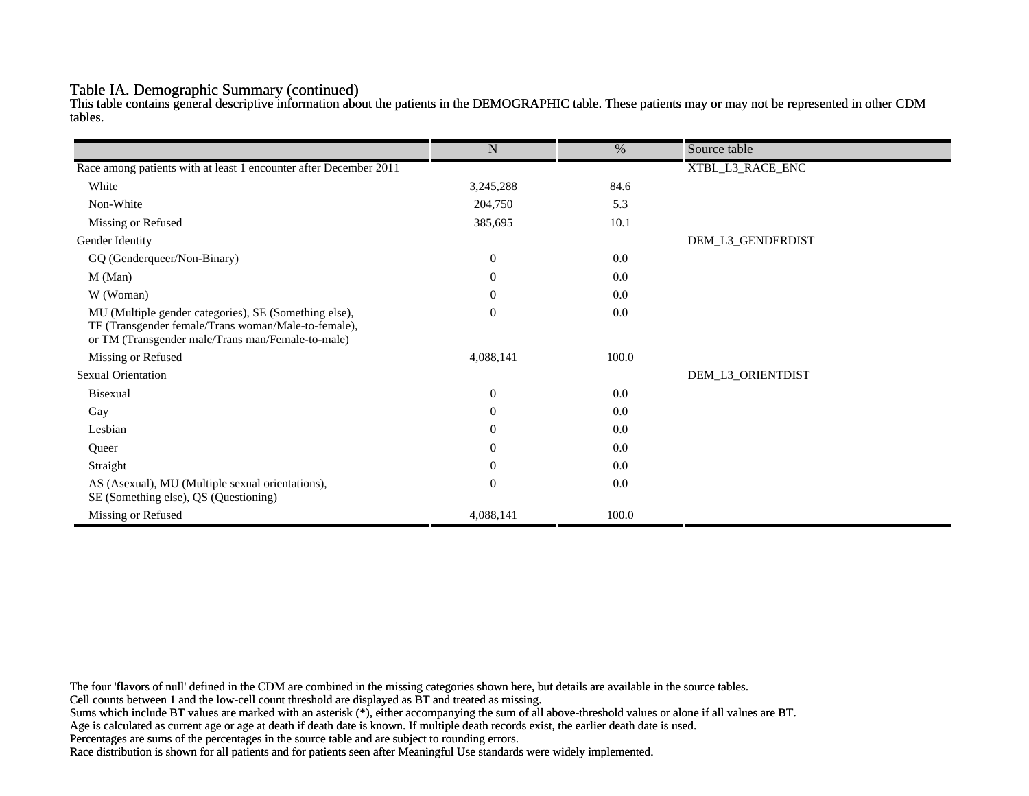#### Table IA. Demographic Summary (continued)

This table contains general descriptive information about the patients in the DEMOGRAPHIC table. These patients may or may not be represented in other CDM tables.

|                                                                                                                                                                   | $\mathbf N$      | $\%$  | Source table      |
|-------------------------------------------------------------------------------------------------------------------------------------------------------------------|------------------|-------|-------------------|
|                                                                                                                                                                   |                  |       |                   |
| Race among patients with at least 1 encounter after December 2011                                                                                                 |                  |       | XTBL_L3_RACE_ENC  |
| White                                                                                                                                                             | 3,245,288        | 84.6  |                   |
| Non-White                                                                                                                                                         | 204,750          | 5.3   |                   |
| Missing or Refused                                                                                                                                                | 385,695          | 10.1  |                   |
| Gender Identity                                                                                                                                                   |                  |       | DEM_L3_GENDERDIST |
| GQ (Genderqueer/Non-Binary)                                                                                                                                       | $\overline{0}$   | 0.0   |                   |
| M (Man)                                                                                                                                                           | $\theta$         | 0.0   |                   |
| W (Woman)                                                                                                                                                         | $\boldsymbol{0}$ | 0.0   |                   |
| MU (Multiple gender categories), SE (Something else),<br>TF (Transgender female/Trans woman/Male-to-female),<br>or TM (Transgender male/Trans man/Female-to-male) | $\mathbf{0}$     | 0.0   |                   |
| Missing or Refused                                                                                                                                                | 4,088,141        | 100.0 |                   |
| <b>Sexual Orientation</b>                                                                                                                                         |                  |       | DEM_L3_ORIENTDIST |
| Bisexual                                                                                                                                                          | $\overline{0}$   | 0.0   |                   |
| Gay                                                                                                                                                               | $\overline{0}$   | 0.0   |                   |
| Lesbian                                                                                                                                                           | $\overline{0}$   | 0.0   |                   |
| Queer                                                                                                                                                             | $\overline{0}$   | 0.0   |                   |
| Straight                                                                                                                                                          | $\theta$         | 0.0   |                   |
| AS (Asexual), MU (Multiple sexual orientations),<br>SE (Something else), QS (Questioning)                                                                         | $\mathbf{0}$     | 0.0   |                   |
| Missing or Refused                                                                                                                                                | 4,088,141        | 100.0 |                   |

The four 'flavors of null' defined in the CDM are combined in the missing categories shown here, but details are available in the source tables.

Cell counts between 1 and the low-cell count threshold are displayed as BT and treated as missing.

Sums which include BT values are marked with an asterisk (\*), either accompanying the sum of all above-threshold values or alone if all values are BT.

Age is calculated as current age or age at death if death date is known. If multiple death records exist, the earlier death date is used.

Percentages are sums of the percentages in the source table and are subject to rounding errors.

Race distribution is shown for all patients and for patients seen after Meaningful Use standards were widely implemented.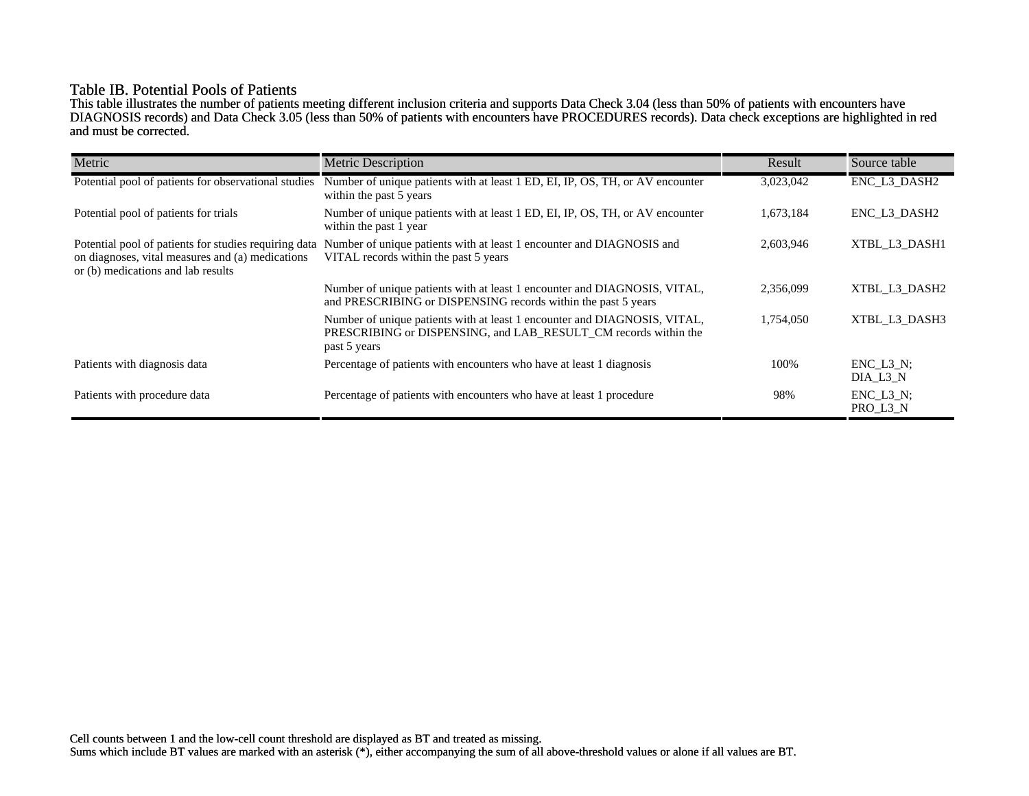## Table IB. Potential Pools of Patients

This table illustrates the number of patients meeting different inclusion criteria and supports Data Check 3.04 (less than 50% of patients with encounters have DIAGNOSIS records) and Data Check 3.05 (less than 50% of patients with encounters have PROCEDURES records). Data check exceptions are highlighted in red and must be corrected.

| Metric                                                                                                                                          | <b>Metric Description</b>                                                                                                                                    | Result    | Source table                 |
|-------------------------------------------------------------------------------------------------------------------------------------------------|--------------------------------------------------------------------------------------------------------------------------------------------------------------|-----------|------------------------------|
| Potential pool of patients for observational studies                                                                                            | Number of unique patients with at least 1 ED, EI, IP, OS, TH, or AV encounter<br>within the past 5 years                                                     | 3,023,042 | ENC_L3_DASH2                 |
| Potential pool of patients for trials                                                                                                           | Number of unique patients with at least 1 ED, EI, IP, OS, TH, or AV encounter<br>within the past 1 year                                                      | 1,673,184 | ENC L3 DASH2                 |
| Potential pool of patients for studies requiring data<br>on diagnoses, vital measures and (a) medications<br>or (b) medications and lab results | Number of unique patients with at least 1 encounter and DIAGNOSIS and<br>VITAL records within the past 5 years                                               | 2,603,946 | XTBL L3 DASH1                |
|                                                                                                                                                 | Number of unique patients with at least 1 encounter and DIAGNOSIS, VITAL,<br>and PRESCRIBING or DISPENSING records within the past 5 years                   | 2,356,099 | XTBL L3 DASH2                |
|                                                                                                                                                 | Number of unique patients with at least 1 encounter and DIAGNOSIS, VITAL,<br>PRESCRIBING or DISPENSING, and LAB_RESULT_CM records within the<br>past 5 years | 1,754,050 | XTBL L3 DASH3                |
| Patients with diagnosis data                                                                                                                    | Percentage of patients with encounters who have at least 1 diagnosis                                                                                         | 100%      | $ENC$ $L3$ $N$ ;<br>DIA L3 N |
| Patients with procedure data                                                                                                                    | Percentage of patients with encounters who have at least 1 procedure                                                                                         | 98%       | $ENC_L3_N;$<br>PRO_L3_N      |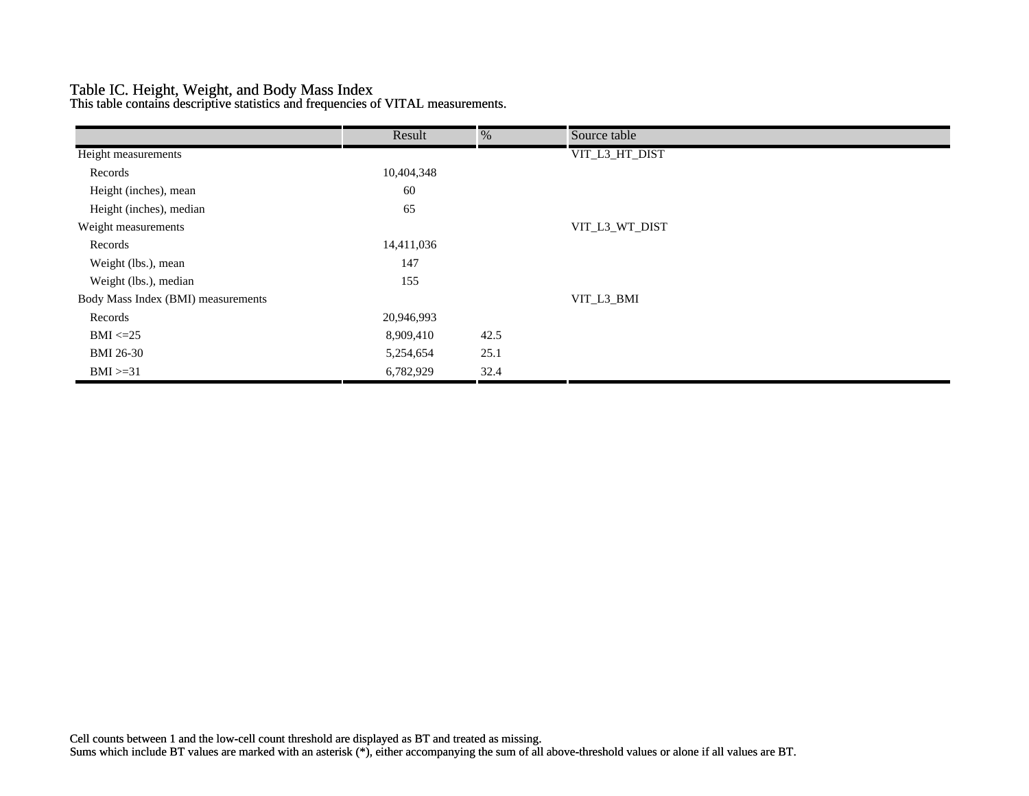## Table IC. Height, Weight, and Body Mass Index

This table contains descriptive statistics and frequencies of VITAL measurements.

|                                    | Result     | %    | Source table   |  |
|------------------------------------|------------|------|----------------|--|
| Height measurements                |            |      | VIT_L3_HT_DIST |  |
| Records                            | 10,404,348 |      |                |  |
| Height (inches), mean              | 60         |      |                |  |
| Height (inches), median            | 65         |      |                |  |
| Weight measurements                |            |      | VIT_L3_WT_DIST |  |
| Records                            | 14,411,036 |      |                |  |
| Weight (lbs.), mean                | 147        |      |                |  |
| Weight (lbs.), median              | 155        |      |                |  |
| Body Mass Index (BMI) measurements |            |      | VIT_L3_BMI     |  |
| Records                            | 20,946,993 |      |                |  |
| $BMI \leq 25$                      | 8,909,410  | 42.5 |                |  |
| <b>BMI 26-30</b>                   | 5,254,654  | 25.1 |                |  |
| $BMI > = 31$                       | 6,782,929  | 32.4 |                |  |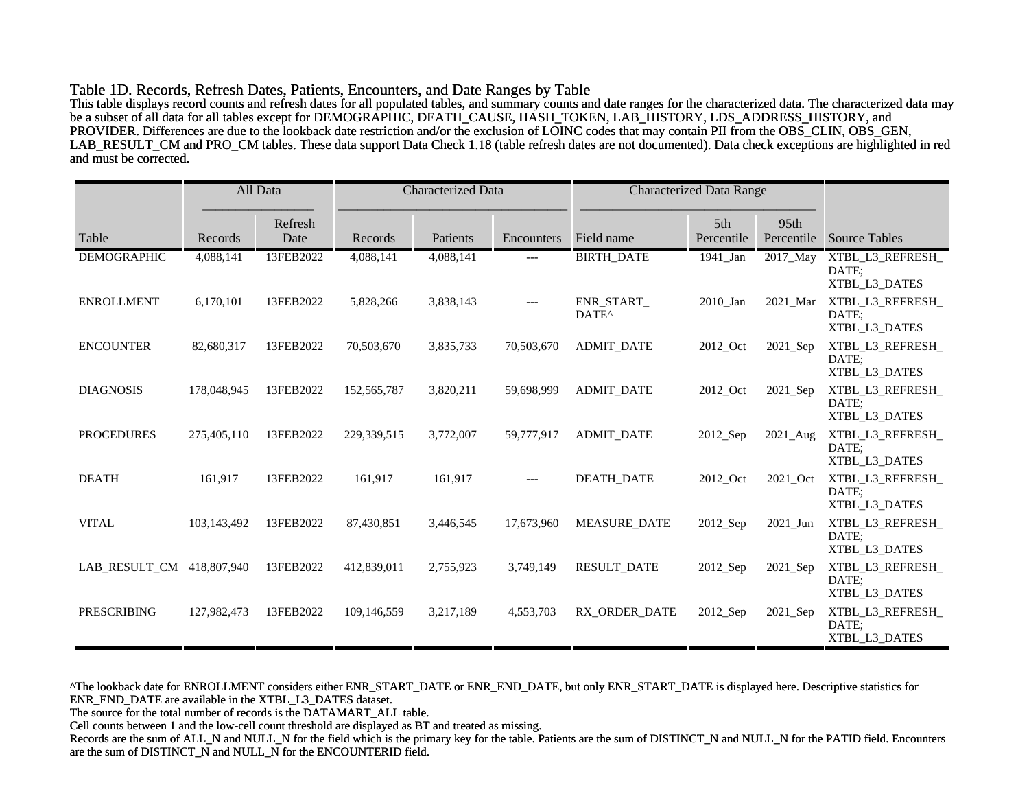#### Table 1D. Records, Refresh Dates, Patients, Encounters, and Date Ranges by Table

This table displays record counts and refresh dates for all populated tables, and summary counts and date ranges for the characterized data. The characterized data may be a subset of all data for all tables except for DEMOGRAPHIC, DEATH\_CAUSE, HASH\_TOKEN, LAB\_HISTORY, LDS\_ADDRESS\_HISTORY, and PROVIDER. Differences are due to the lookback date restriction and/or the exclusion of LOINC codes that may contain PII from the OBS\_CLIN, OBS\_GEN, LAB\_RESULT\_CM and PRO\_CM tables. These data support Data Check 1.18 (table refresh dates are not documented). Data check exceptions are highlighted in red and must be corrected.

|                           |             | All Data        | <b>Characterized Data</b> |           | <b>Characterized Data Range</b> |                                       |                   |                    |                                            |
|---------------------------|-------------|-----------------|---------------------------|-----------|---------------------------------|---------------------------------------|-------------------|--------------------|--------------------------------------------|
| Table                     | Records     | Refresh<br>Date | Records                   | Patients  | Encounters                      | Field name                            | 5th<br>Percentile | 95th<br>Percentile | <b>Source Tables</b>                       |
| <b>DEMOGRAPHIC</b>        | 4,088,141   | 13FEB2022       | 4,088,141                 | 4,088,141 | ---                             | <b>BIRTH_DATE</b>                     | 1941_Jan          | 2017_May           | XTBL_L3_REFRESH_<br>DATE:<br>XTBL L3 DATES |
| <b>ENROLLMENT</b>         | 6,170,101   | 13FEB2022       | 5,828,266                 | 3,838,143 | $---$                           | <b>ENR START</b><br>DATE <sup>^</sup> | 2010_Jan          | 2021 Mar           | XTBL_L3_REFRESH_<br>DATE:<br>XTBL L3 DATES |
| <b>ENCOUNTER</b>          | 82,680,317  | 13FEB2022       | 70,503,670                | 3,835,733 | 70,503,670                      | <b>ADMIT DATE</b>                     | 2012_Oct          | 2021_Sep           | XTBL_L3_REFRESH_<br>DATE:<br>XTBL_L3_DATES |
| <b>DIAGNOSIS</b>          | 178,048,945 | 13FEB2022       | 152, 565, 787             | 3,820,211 | 59.698.999                      | <b>ADMIT DATE</b>                     | 2012 Oct          | 2021_Sep           | XTBL_L3_REFRESH_<br>DATE:<br>XTBL_L3_DATES |
| <b>PROCEDURES</b>         | 275,405,110 | 13FEB2022       | 229,339,515               | 3,772,007 | 59,777,917                      | <b>ADMIT DATE</b>                     | 2012_Sep          | 2021_Aug           | XTBL_L3_REFRESH_<br>DATE:<br>XTBL L3 DATES |
| <b>DEATH</b>              | 161,917     | 13FEB2022       | 161,917                   | 161,917   | $---$                           | <b>DEATH DATE</b>                     | 2012 Oct          | 2021_Oct           | XTBL L3 REFRESH<br>DATE:<br>XTBL_L3_DATES  |
| <b>VITAL</b>              | 103,143,492 | 13FEB2022       | 87,430,851                | 3,446,545 | 17,673,960                      | <b>MEASURE DATE</b>                   | 2012_Sep          | 2021_Jun           | XTBL_L3_REFRESH_<br>DATE:<br>XTBL L3 DATES |
| LAB_RESULT_CM 418,807,940 |             | 13FEB2022       | 412,839,011               | 2,755,923 | 3,749,149                       | <b>RESULT_DATE</b>                    | 2012_Sep          | 2021_Sep           | XTBL_L3_REFRESH_<br>DATE:<br>XTBL_L3_DATES |
| <b>PRESCRIBING</b>        | 127,982,473 | 13FEB2022       | 109,146,559               | 3,217,189 | 4,553,703                       | RX ORDER DATE                         | 2012_Sep          | 2021_Sep           | XTBL_L3_REFRESH_<br>DATE:<br>XTBL_L3_DATES |

^The lookback date for ENROLLMENT considers either ENR\_START\_DATE or ENR\_END\_DATE, but only ENR\_START\_DATE is displayed here. Descriptive statistics for ENR\_END\_DATE are available in the XTBL\_L3\_DATES dataset.

The source for the total number of records is the DATAMART\_ALL table.

Cell counts between 1 and the low-cell count threshold are displayed as BT and treated as missing.

Records are the sum of ALL\_N and NULL\_N for the field which is the primary key for the table. Patients are the sum of DISTINCT\_N and NULL\_N for the PATID field. Encounters are the sum of DISTINCT\_N and NULL\_N for the ENCOUNTERID field.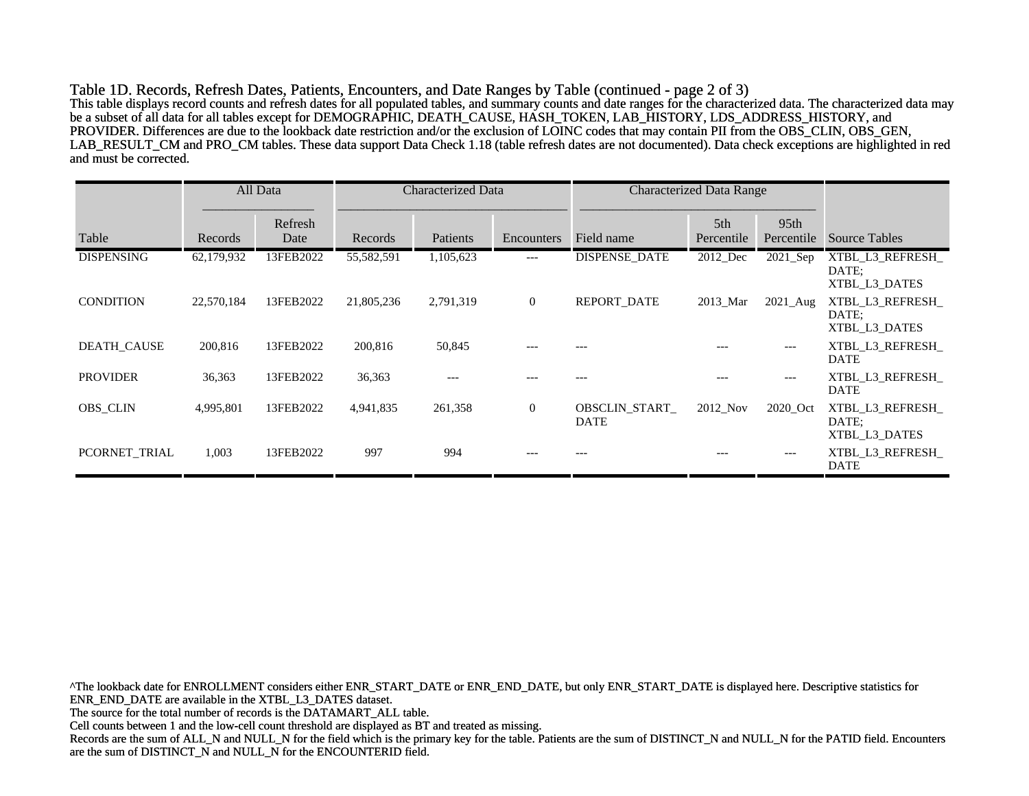Table 1D. Records, Refresh Dates, Patients, Encounters, and Date Ranges by Table (continued - page 2 of 3) This table displays record counts and refresh dates for all populated tables, and summary counts and date ranges for the characterized data. The characterized data may be a subset of all data for all tables except for DEMOGRAPHIC, DEATH\_CAUSE, HASH\_TOKEN, LAB\_HISTORY, LDS\_ADDRESS\_HISTORY, and PROVIDER. Differences are due to the lookback date restriction and/or the exclusion of LOINC codes that may contain PII from the OBS\_CLIN, OBS\_GEN, LAB\_RESULT\_CM and PRO\_CM tables. These data support Data Check 1.18 (table refresh dates are not documented). Data check exceptions are highlighted in red and must be corrected.

|                    |            | All Data        | <b>Characterized Data</b> |           | <b>Characterized Data Range</b> |                                     |                               |                                |                                            |
|--------------------|------------|-----------------|---------------------------|-----------|---------------------------------|-------------------------------------|-------------------------------|--------------------------------|--------------------------------------------|
| Table              | Records    | Refresh<br>Date | Records                   | Patients  | Encounters                      | Field name                          | 5 <sup>th</sup><br>Percentile | 95 <sub>th</sub><br>Percentile | <b>Source Tables</b>                       |
| <b>DISPENSING</b>  | 62,179,932 | 13FEB2022       | 55,582,591                | 1,105,623 | $---$                           | <b>DISPENSE DATE</b>                | 2012 Dec                      | $2021$ Sep                     | XTBL L3 REFRESH<br>DATE:<br>XTBL L3 DATES  |
| <b>CONDITION</b>   | 22,570,184 | 13FEB2022       | 21,805,236                | 2,791,319 | $\boldsymbol{0}$                | REPORT_DATE                         | 2013 Mar                      | $2021$ _Aug                    | XTBL L3 REFRESH<br>DATE:<br>XTBL L3 DATES  |
| <b>DEATH CAUSE</b> | 200,816    | 13FEB2022       | 200,816                   | 50,845    | ---                             |                                     | ---                           | ---                            | XTBL L3 REFRESH<br><b>DATE</b>             |
| <b>PROVIDER</b>    | 36,363     | 13FEB2022       | 36,363                    | ---       |                                 |                                     |                               | ---                            | XTBL L3 REFRESH<br><b>DATE</b>             |
| <b>OBS_CLIN</b>    | 4,995,801  | 13FEB2022       | 4,941,835                 | 261,358   | $\overline{0}$                  | <b>OBSCLIN START</b><br><b>DATE</b> | 2012 Nov                      | 2020 Oct                       | XTBL_L3_REFRESH_<br>DATE:<br>XTBL_L3_DATES |
| PCORNET TRIAL      | 1,003      | 13FEB2022       | 997                       | 994       |                                 | $---$                               | ---                           | ---                            | XTBL L3 REFRESH<br><b>DATE</b>             |

^The lookback date for ENROLLMENT considers either ENR\_START\_DATE or ENR\_END\_DATE, but only ENR\_START\_DATE is displayed here. Descriptive statistics for ENR\_END\_DATE are available in the XTBL\_L3\_DATES dataset. The source for the total number of records is the DATAMART\_ALL table. Cell counts between 1 and the low-cell count threshold are displayed as BT and treated as missing. Records are the sum of ALL\_N and NULL\_N for the field which is the primary key for the table. Patients are the sum of DISTINCT\_N and NULL\_N for the PATID field. Encounters are the sum of DISTINCT\_N and NULL\_N for the ENCOUNTERID field.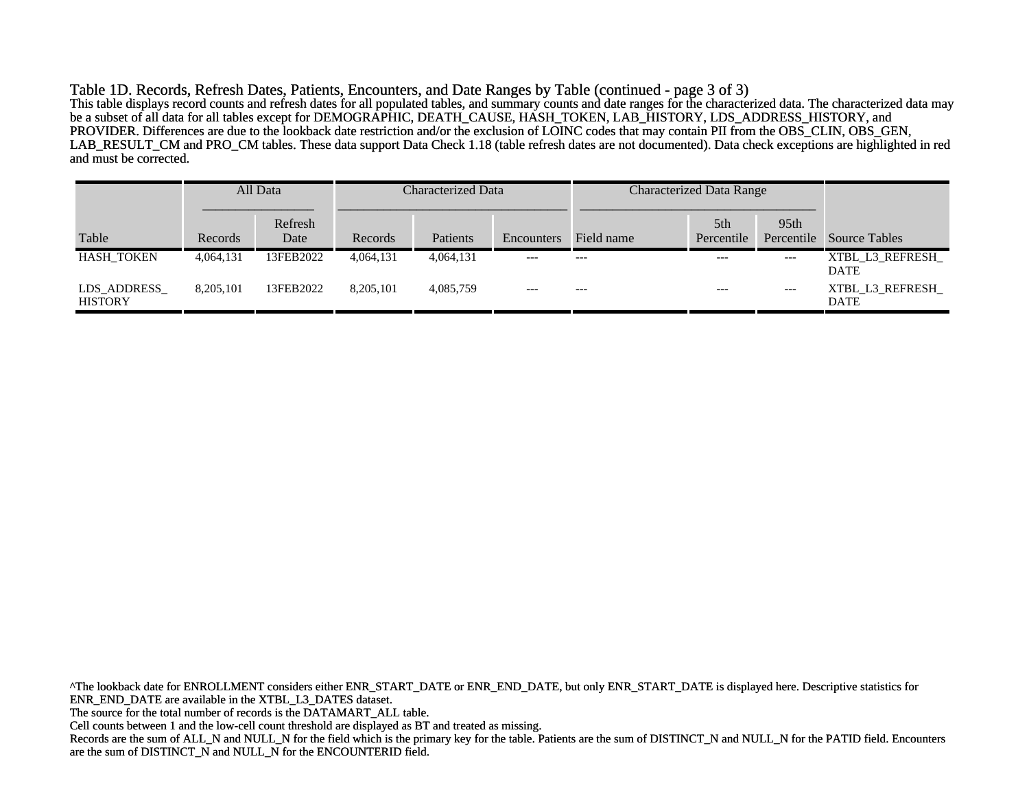Table 1D. Records, Refresh Dates, Patients, Encounters, and Date Ranges by Table (continued - page 3 of 3) This table displays record counts and refresh dates for all populated tables, and summary counts and date ranges for the characterized data. The characterized data may be a subset of all data for all tables except for DEMOGRAPHIC, DEATH\_CAUSE, HASH\_TOKEN, LAB\_HISTORY, LDS\_ADDRESS\_HISTORY, and PROVIDER. Differences are due to the lookback date restriction and/or the exclusion of LOINC codes that may contain PII from the OBS\_CLIN, OBS\_GEN, LAB\_RESULT\_CM and PRO\_CM tables. These data support Data Check 1.18 (table refresh dates are not documented). Data check exceptions are highlighted in red and must be corrected.

|                                |           | All Data        | Characterized Data |           |            | <b>Characterized Data Range</b> |                               |                                |                                |
|--------------------------------|-----------|-----------------|--------------------|-----------|------------|---------------------------------|-------------------------------|--------------------------------|--------------------------------|
| Table                          | Records   | Refresh<br>Date | Records            | Patients  | Encounters | Field name                      | 5 <sup>th</sup><br>Percentile | 95 <sub>th</sub><br>Percentile | <b>Source Tables</b>           |
| <b>HASH TOKEN</b>              | 4,064,131 | 13FEB2022       | 4,064,131          | 4,064,131 | $---$      | $---$                           | $---$                         | $---$                          | XTBL L3 REFRESH<br><b>DATE</b> |
| LDS_ADDRESS_<br><b>HISTORY</b> | 8.205.101 | 13FEB2022       | 8.205.101          | 4.085.759 | $---$      | $---$                           | $---$                         | $---$                          | XTBL L3 REFRESH<br><b>DATE</b> |

^The lookback date for ENROLLMENT considers either ENR\_START\_DATE or ENR\_END\_DATE, but only ENR\_START\_DATE is displayed here. Descriptive statistics for ENR\_END\_DATE are available in the XTBL\_L3\_DATES dataset. The source for the total number of records is the DATAMART\_ALL table. Cell counts between 1 and the low-cell count threshold are displayed as BT and treated as missing. Records are the sum of ALL\_N and NULL\_N for the field which is the primary key for the table. Patients are the sum of DISTINCT\_N and NULL\_N for the PATID field. Encounters are the sum of DISTINCT\_N and NULL\_N for the ENCOUNTERID field.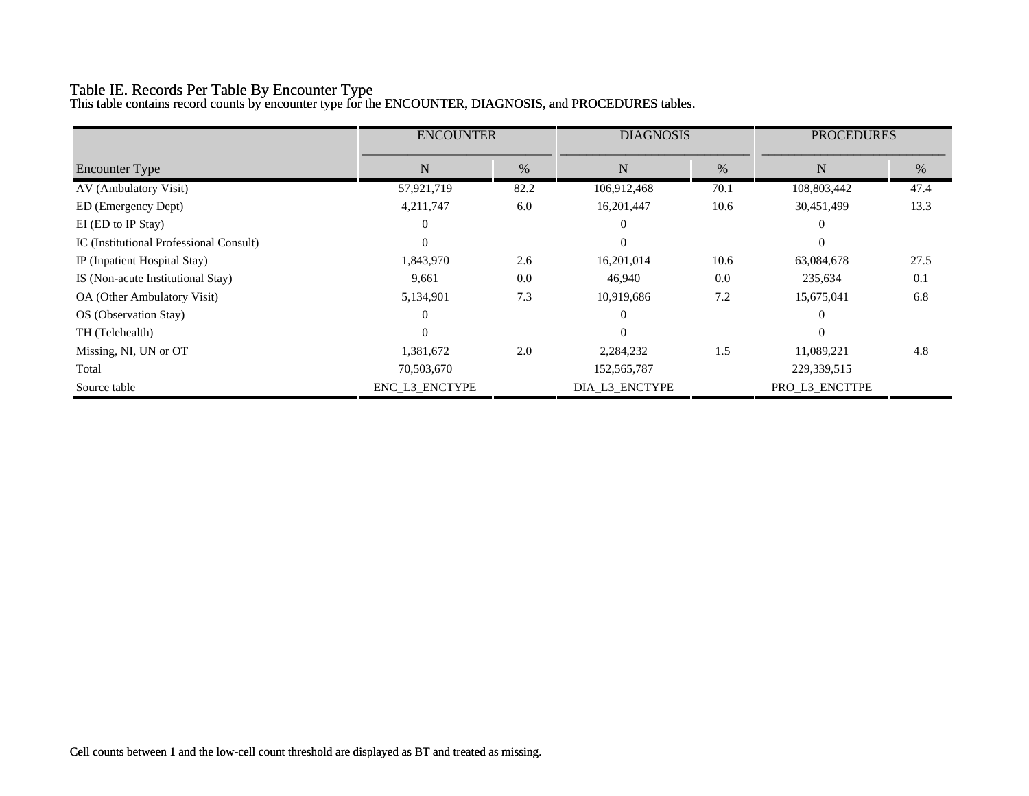# Table IE. Records Per Table By Encounter Type

This table contains record counts by encounter type for the ENCOUNTER, DIAGNOSIS, and PROCEDURES tables.

|                                         | <b>ENCOUNTER</b> |      | <b>DIAGNOSIS</b> |      | <b>PROCEDURES</b> |      |
|-----------------------------------------|------------------|------|------------------|------|-------------------|------|
| <b>Encounter Type</b>                   | %<br>N           |      | N                |      | N                 | %    |
|                                         |                  |      |                  | %    |                   |      |
| AV (Ambulatory Visit)                   | 57,921,719       | 82.2 | 106,912,468      | 70.1 | 108,803,442       | 47.4 |
| ED (Emergency Dept)                     | 4,211,747        | 6.0  | 16,201,447       | 10.6 | 30,451,499        | 13.3 |
| EI (ED to IP Stay)                      | 0                |      |                  |      | $\theta$          |      |
| IC (Institutional Professional Consult) | $\Omega$         |      | $\Omega$         |      | $\theta$          |      |
| IP (Inpatient Hospital Stay)            | 1,843,970        | 2.6  | 16,201,014       | 10.6 | 63,084,678        | 27.5 |
| IS (Non-acute Institutional Stay)       | 9,661            | 0.0  | 46,940           | 0.0  | 235,634           | 0.1  |
| OA (Other Ambulatory Visit)             | 5,134,901        | 7.3  | 10,919,686       | 7.2  | 15,675,041        | 6.8  |
| OS (Observation Stay)                   | $\Omega$         |      |                  |      | $\Omega$          |      |
| TH (Telehealth)                         | $\Omega$         |      |                  |      | $\theta$          |      |
| Missing, NI, UN or OT                   | 1,381,672        | 2.0  | 2,284,232        | 1.5  | 11,089,221        | 4.8  |
| Total                                   | 70,503,670       |      | 152, 565, 787    |      | 229,339,515       |      |
| Source table                            | ENC L3 ENCTYPE   |      | DIA_L3_ENCTYPE   |      | PRO_L3_ENCTTPE    |      |